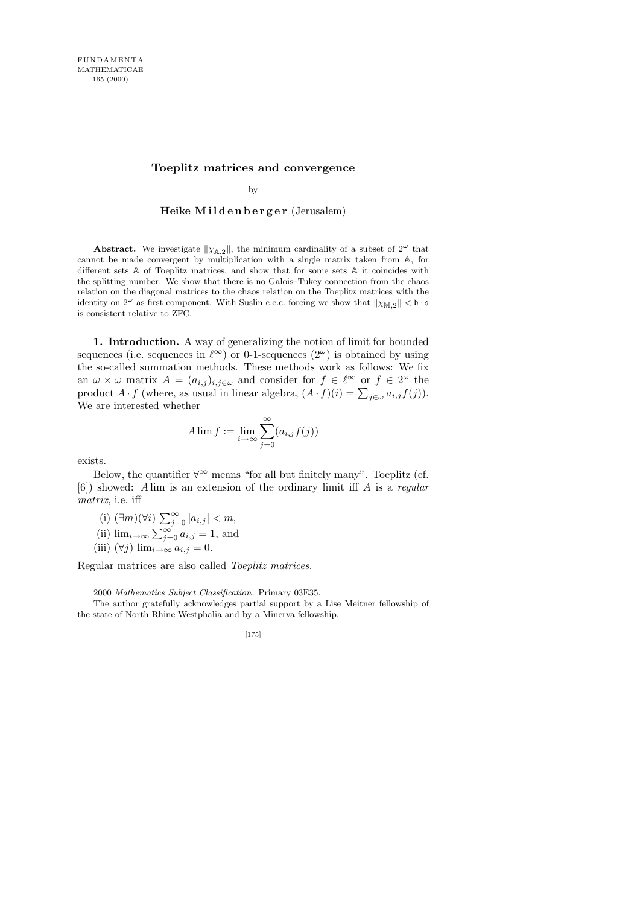## **Toeplitz matrices and convergence**

by

## Heike Mildenberger (Jerusalem)

**Abstract.** We investigate  $\|\chi_{A,2}\|$ , the minimum cardinality of a subset of  $2^{\omega}$  that cannot be made convergent by multiplication with a single matrix taken from A, for different sets A of Toeplitz matrices, and show that for some sets A it coincides with the splitting number. We show that there is no Galois–Tukey connection from the chaos relation on the diagonal matrices to the chaos relation on the Toeplitz matrices with the identity on  $2^{\omega}$  as first component. With Suslin c.c.c. forcing we show that  $\|\chi_{\mathbb{M},2}\| < \mathfrak{b} \cdot \mathfrak{s}$ is consistent relative to ZFC.

1. Introduction. A way of generalizing the notion of limit for bounded sequences (i.e. sequences in  $\ell^{\infty}$ ) or 0-1-sequences  $(2^{\omega})$  is obtained by using the so-called summation methods. These methods work as follows: We fix an  $\omega \times \omega$  matrix  $A = (a_{i,j})_{i,j \in \omega}$  and consider for  $f \in \ell^{\infty}$  or  $f \in 2^{\omega}$  the product  $A \cdot f$  (where, as usual in linear algebra,  $(A \cdot f)(i) = \sum_{j \in \omega} a_{i,j} f(j)$ ). We are interested whether

$$
A \lim f := \lim_{i \to \infty} \sum_{j=0}^{\infty} (a_{i,j} f(j))
$$

exists.

Below, the quantifier  $\forall^{\infty}$  means "for all but finitely many". Toeplitz (cf. [6]) showed: A lim is an extension of the ordinary limit iff A is a regular matrix, i.e. iff

- (i)  $(\exists m)(\forall i)$   $\sum_{j=0}^{\infty} |a_{i,j}| < m$ ,
- (ii)  $\lim_{i\to\infty}\sum_{j=0}^{\infty}a_{i,j}=1$ , and
- (iii)  $(\forall j)$  lim<sub>i→∞</sub>  $a_{i,j} = 0$ .

Regular matrices are also called Toeplitz matrices.

The author gratefully acknowledges partial support by a Lise Meitner fellowship of the state of North Rhine Westphalia and by a Minerva fellowship.



<sup>2000</sup> *Mathematics Subject Classification*: Primary 03E35.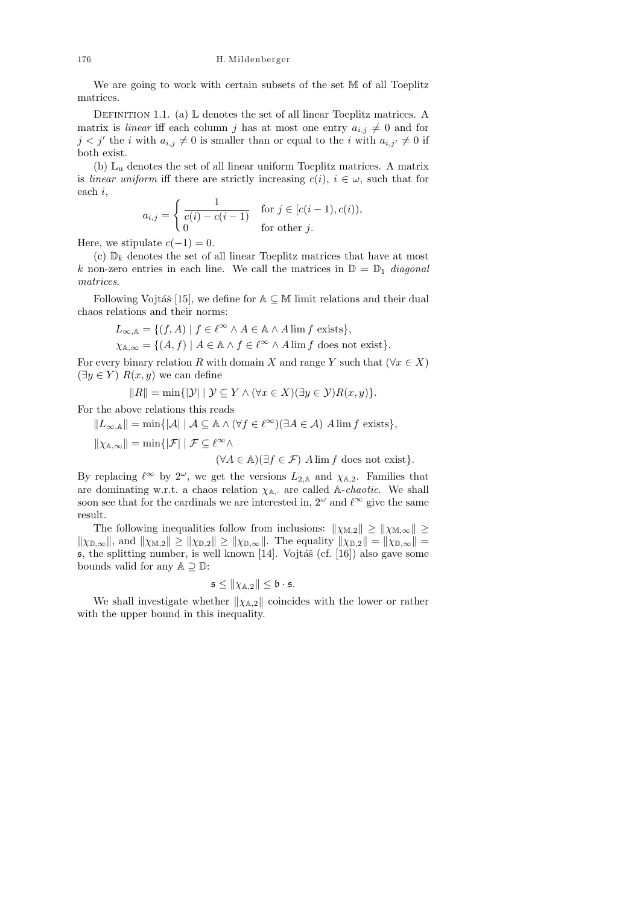We are going to work with certain subsets of the set M of all Toeplitz matrices.

DEFINITION 1.1. (a)  $\mathbb L$  denotes the set of all linear Toeplitz matrices. A matrix is *linear* iff each column j has at most one entry  $a_{i,j} \neq 0$  and for  $j < j'$  the i with  $a_{i,j} \neq 0$  is smaller than or equal to the i with  $a_{i,j'} \neq 0$  if both exist.

(b)  $\mathbb{L}_{u}$  denotes the set of all linear uniform Toeplitz matrices. A matrix is linear uniform iff there are strictly increasing  $c(i)$ ,  $i \in \omega$ , such that for each i,

$$
a_{i,j} = \begin{cases} \frac{1}{c(i) - c(i-1)} & \text{for } j \in [c(i-1), c(i)),\\ 0 & \text{for other } j. \end{cases}
$$

Here, we stipulate  $c(-1) = 0$ .

(c)  $\mathbb{D}_k$  denotes the set of all linear Toeplitz matrices that have at most k non-zero entries in each line. We call the matrices in  $\mathbb{D} = \mathbb{D}_1$  diagonal matrices.

Following Vojtáš [15], we define for  $A \subseteq M$  limit relations and their dual chaos relations and their norms:

$$
L_{\infty,\mathbb{A}} = \{ (f,A) \mid f \in \ell^{\infty} \land A \in \mathbb{A} \land A \lim f \text{ exists} \},\
$$

$$
\chi_{\mathbb{A},\infty} = \{ (A,f) \mid A \in \mathbb{A} \land f \in \ell^{\infty} \land A \lim f \text{ does not exist} \}.
$$

For every binary relation R with domain X and range Y such that  $(\forall x \in X)$  $(\exists y \in Y) R(x, y)$  we can define

$$
||R|| = \min{ {|\mathcal{Y}| |\mathcal{Y} \subseteq Y \land (\forall x \in X)(\exists y \in \mathcal{Y})R(x, y) } }.
$$

For the above relations this reads

 $||L_{\infty,A}|| = \min\{|\mathcal{A}| \mid \mathcal{A} \subseteq \mathbb{A} \wedge (\forall f \in \ell^{\infty})(\exists A \in \mathcal{A}) \wedge \dim f \text{ exists}\},\$  $\|\chi_{\mathbb{A},\infty}\| = \min\{|\mathcal{F}| \mid \mathcal{F} \subseteq \ell^{\infty}\wedge$  $(\forall A \in \mathbb{A})(\exists f \in \mathcal{F})$  A lim f does not exist}.

By replacing  $\ell^{\infty}$  by  $2^{\omega}$ , we get the versions  $L_{2,\mathbb{A}}$  and  $\chi_{\mathbb{A},2}$ . Families that are dominating w.r.t. a chaos relation  $\chi_{A}$ , are called A-*chaotic*. We shall soon see that for the cardinals we are interested in,  $2^{\omega}$  and  $\ell^{\infty}$  give the same result.

The following inequalities follow from inclusions:  $\|\chi_{\mathbb{M},2}\| \geq \|\chi_{\mathbb{M},\infty}\| \geq$  $\|\chi_{\mathbb{D},\infty}\|$ , and  $\|\chi_{\mathbb{M},2}\| \ge \|\chi_{\mathbb{D},2}\| \ge \|\chi_{\mathbb{D},\infty}\|$ . The equality  $\|\chi_{\mathbb{D},2}\| = \|\chi_{\mathbb{D},\infty}\| =$  $\mathfrak s$ , the splitting number, is well known [14]. Vojtáš (cf. [16]) also gave some bounds valid for any  $\mathbb{A} \supset \mathbb{D}$ :

$$
\mathfrak{s} \leq \|\chi_{\mathbb{A},2}\| \leq \mathfrak{b} \cdot \mathfrak{s}.
$$

We shall investigate whether  $\|\chi_{\mathbb{A},2}\|$  coincides with the lower or rather with the upper bound in this inequality.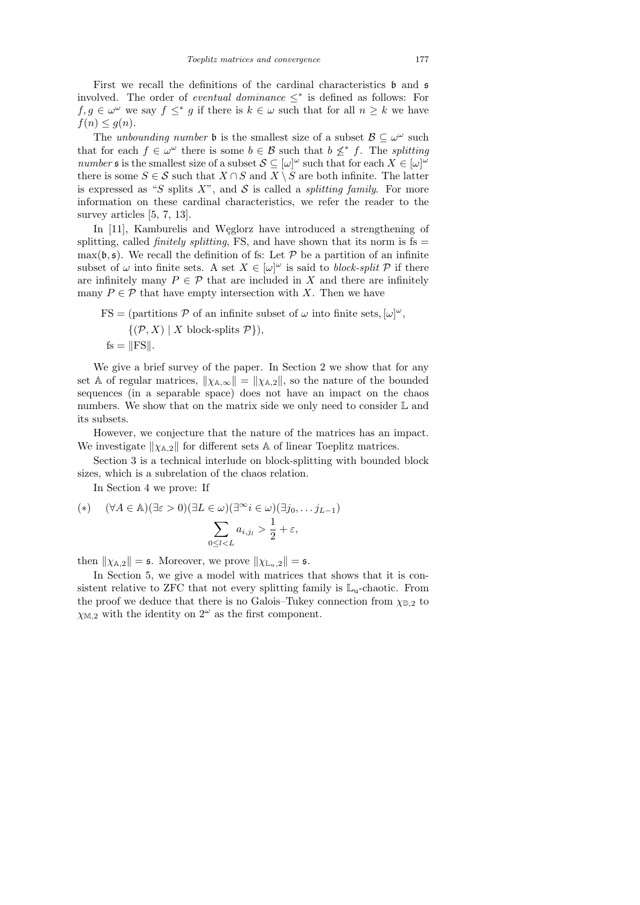First we recall the definitions of the cardinal characteristics  $\mathfrak b$  and  $\mathfrak s$ involved. The order of *eventual dominance*  $\leq^*$  is defined as follows: For  $f, g \in \omega^{\omega}$  we say  $f \leq^* g$  if there is  $k \in \omega$  such that for all  $n \geq k$  we have  $f(n) \leq g(n)$ .

The unbounding number  $\mathfrak b$  is the smallest size of a subset  $\mathcal B \subseteq \omega^\omega$  such that for each  $f \in \omega^{\omega}$  there is some  $b \in \mathcal{B}$  such that  $b \nleq^* f$ . The splitting number st is the smallest size of a subset  $S \subseteq [\omega]^\omega$  such that for each  $X \in [\omega]^\omega$ there is some  $S \in \mathcal{S}$  such that  $X \cap S$  and  $X \setminus S$  are both infinite. The latter is expressed as "S splits  $X$ ", and S is called a *splitting family*. For more information on these cardinal characteristics, we refer the reader to the survey articles [5, 7, 13].

In [11], Kamburelis and Weglorz have introduced a strengthening of splitting, called *finitely splitting*, FS, and have shown that its norm is  $fs =$  $\max(\mathfrak{b}, \mathfrak{s})$ . We recall the definition of fs: Let P be a partition of an infinite subset of  $\omega$  into finite sets. A set  $X \in [\omega]^\omega$  is said to block-split P if there are infinitely many  $P \in \mathcal{P}$  that are included in X and there are infinitely many  $P \in \mathcal{P}$  that have empty intersection with X. Then we have

$$
FS = (\text{partitions } \mathcal{P} \text{ of an infinite subset of } \omega \text{ into finite sets}, [\omega]^{\omega}, \{(\mathcal{P}, X) \mid X \text{ block-splits } \mathcal{P}\}),
$$
  
fs =  $||FS||$ .

We give a brief survey of the paper. In Section 2 we show that for any set A of regular matrices,  $\|\chi_{A,\infty}\| = \|\chi_{A,2}\|$ , so the nature of the bounded sequences (in a separable space) does not have an impact on the chaos numbers. We show that on the matrix side we only need to consider  $\mathbb L$  and its subsets.

However, we conjecture that the nature of the matrices has an impact. We investigate  $\|\chi_{A,2}\|$  for different sets A of linear Toeplitz matrices.

Section 3 is a technical interlude on block-splitting with bounded block sizes, which is a subrelation of the chaos relation.

In Section 4 we prove: If

$$
(*) \quad (\forall A \in \mathbb{A})(\exists \varepsilon > 0)(\exists L \in \omega)(\exists^{\infty} i \in \omega)(\exists j_0, \dots j_{L-1})
$$
\n
$$
\sum_{0 \le l < L} a_{i,j_l} > \frac{1}{2} + \varepsilon,
$$

then  $\|\chi_{A,2}\| = \mathfrak{s}$ . Moreover, we prove  $\|\chi_{L_u,2}\| = \mathfrak{s}$ .

In Section 5, we give a model with matrices that shows that it is consistent relative to ZFC that not every splitting family is  $\mathbb{L}_u$ -chaotic. From the proof we deduce that there is no Galois–Tukey connection from  $\chi_{\mathbb{D},2}$  to  $\chi_{\mathbb{M},2}$  with the identity on  $2^{\omega}$  as the first component.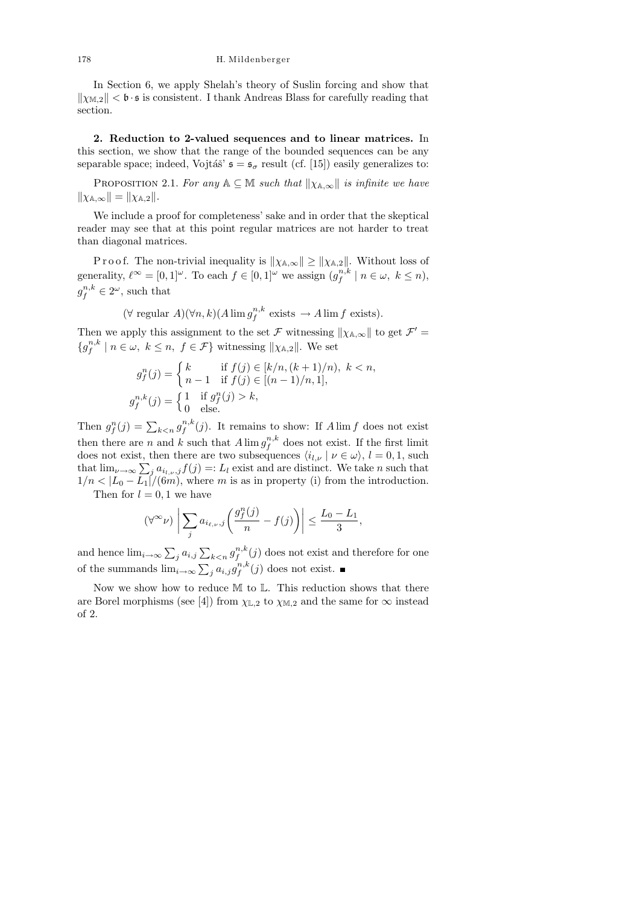In Section 6, we apply Shelah's theory of Suslin forcing and show that  $\|\chi_{M,2}\| < \mathfrak{b} \cdot \mathfrak{s}$  is consistent. I thank Andreas Blass for carefully reading that section.

2. Reduction to 2-valued sequences and to linear matrices. In this section, we show that the range of the bounded sequences can be any separable space; indeed, Vojtáš'  $\mathfrak{s} = \mathfrak{s}_{\sigma}$  result (cf. [15]) easily generalizes to:

PROPOSITION 2.1. For any  $A \subseteq M$  such that  $\|\chi_{A,\infty}\|$  is infinite we have  $\|\chi_{\mathbb{A},\infty}\| = \|\chi_{\mathbb{A},2}\|.$ 

We include a proof for completeness' sake and in order that the skeptical reader may see that at this point regular matrices are not harder to treat than diagonal matrices.

P r o o f. The non-trivial inequality is  $\|\chi_{\mathbb{A},\infty}\| \ge \|\chi_{\mathbb{A},2}\|$ . Without loss of generality,  $\ell^{\infty} = [0, 1]^{\omega}$ . To each  $f \in [0, 1]^{\omega}$  we assign  $(g_i^{n,k})$  $\int_{f}^{n,\kappa} | n \in \omega, k \leq n$  $g_f^{n,k} \in 2^\omega$ , such that

> $(\forall \text{ regular } A)(\forall n, k) (A \lim_{\mathcal{F}} g_{\mathcal{F}}^{n,k})$  $f^{n,\kappa}_f$  exists  $\to A \lim f$  exists).

Then we apply this assignment to the set  $\mathcal F$  witnessing  $\|\chi_{\mathbb A,\infty}\|$  to get  $\mathcal F' =$  ${g_f^{n,k}}$  $f^{n,\kappa}_{f} \mid n \in \omega, k \leq n, f \in \mathcal{F}$  witnessing  $\|\chi_{\mathbb{A},2}\|$ . We set

$$
g_f^n(j) = \begin{cases} k & \text{if } f(j) \in [k/n, (k+1)/n), \ k < n, \\ n-1 & \text{if } f(j) \in [(n-1)/n, 1], \end{cases}
$$

$$
g_f^{n,k}(j) = \begin{cases} 1 & \text{if } g_f^n(j) > k, \\ 0 & \text{else.} \end{cases}
$$

Then  $g_f^n(j) = \sum_{k \le n} g_f^{n,k}$  $f^{n,\kappa}(j)$ . It remains to show: If  $A \lim f$  does not exist then there are n and k such that  $A \lim_{n \to \infty} g_{f}^{n,k}$  $\int_{f}^{n,\kappa}$  does not exist. If the first limit does not exist, then there are two subsequences  $\langle i_{l,\nu} | \nu \in \omega \rangle$ ,  $l = 0, 1$ , such that  $\lim_{\nu \to \infty} \sum_j a_{i_{l,\nu},j} f(j) =: L_l$  exist and are distinct. We take n such that  $1/n < |L_0 - L_1|/(6m)$ , where m is as in property (i) from the introduction.

Then for  $l = 0, 1$  we have

$$
(\forall^\infty \nu) \left| \sum_j a_{i_{\ell,\nu},j} \left( \frac{g_j^n(j)}{n} - f(j) \right) \right| \le \frac{L_0 - L_1}{3},
$$

and hence  $\lim_{i\to\infty}\sum_j a_{i,j}\sum_{k\le n}g_j^{n,k}$  $f^{n,\kappa}(j)$  does not exist and therefore for one of the summands  $\lim_{i\to\infty}\sum_j a_{i,j}g_f^{n,k}$  $f^{n,\kappa}(j)$  does not exist.

Now we show how to reduce M to L. This reduction shows that there are Borel morphisms (see [4]) from  $\chi_{\mathbb{L},2}$  to  $\chi_{\mathbb{M},2}$  and the same for  $\infty$  instead of 2.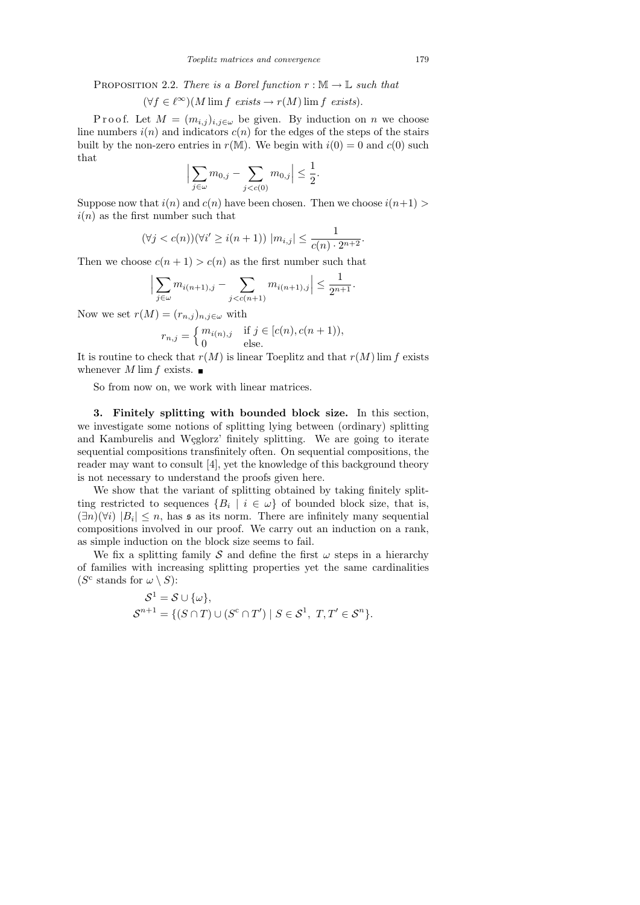PROPOSITION 2.2. There is a Borel function  $r : \mathbb{M} \to \mathbb{L}$  such that

$$
(\forall f \in \ell^{\infty})(M \lim f \text{ exists} \to r(M) \lim f \text{ exists}).
$$

P r o o f. Let  $M = (m_{i,j})_{i,j \in \omega}$  be given. By induction on n we choose line numbers  $i(n)$  and indicators  $c(n)$  for the edges of the steps of the stairs built by the non-zero entries in  $r(M)$ . We begin with  $i(0) = 0$  and  $c(0)$  such that

$$
\Big|\sum_{j\in\omega} m_{0,j} - \sum_{j < c(0)} m_{0,j}\Big| \le \frac{1}{2}.
$$

Suppose now that  $i(n)$  and  $c(n)$  have been chosen. Then we choose  $i(n+1)$  $i(n)$  as the first number such that

$$
(\forall j < c(n))(\forall i' \geq i(n+1)) \ |m_{i,j}| \leq \frac{1}{c(n) \cdot 2^{n+2}}.
$$

Then we choose  $c(n + 1) > c(n)$  as the first number such that

$$
\Big|\sum_{j\in\omega} m_{i(n+1),j} - \sum_{j
$$

Now we set  $r(M) = (r_{n,j})_{n,j \in \omega}$  with

$$
r_{n,j} = \begin{cases} m_{i(n),j} & \text{if } j \in [c(n), c(n+1)), \\ 0 & \text{else.} \end{cases}
$$

It is routine to check that  $r(M)$  is linear Toeplitz and that  $r(M)$  lim f exists whenever M lim f exists.  $\blacksquare$ 

So from now on, we work with linear matrices.

3. Finitely splitting with bounded block size. In this section, we investigate some notions of splitting lying between (ordinary) splitting and Kamburelis and Węglorz' finitely splitting. We are going to iterate sequential compositions transfinitely often. On sequential compositions, the reader may want to consult [4], yet the knowledge of this background theory is not necessary to understand the proofs given here.

We show that the variant of splitting obtained by taking finitely splitting restricted to sequences  $\{B_i \mid i \in \omega\}$  of bounded block size, that is,  $(\exists n)(\forall i)$   $|B_i| \leq n$ , has s as its norm. There are infinitely many sequential compositions involved in our proof. We carry out an induction on a rank, as simple induction on the block size seems to fail.

We fix a splitting family S and define the first  $\omega$  steps in a hierarchy of families with increasing splitting properties yet the same cardinalities ( $S^c$  stands for  $\omega \setminus S$ ):

$$
\begin{aligned} \mathcal{S}^1 &= \mathcal{S} \cup \{\omega\}, \\ \mathcal{S}^{n+1} &= \{ (S \cap T) \cup (S^c \cap T') \mid S \in \mathcal{S}^1, \ T, T' \in \mathcal{S}^n \}. \end{aligned}
$$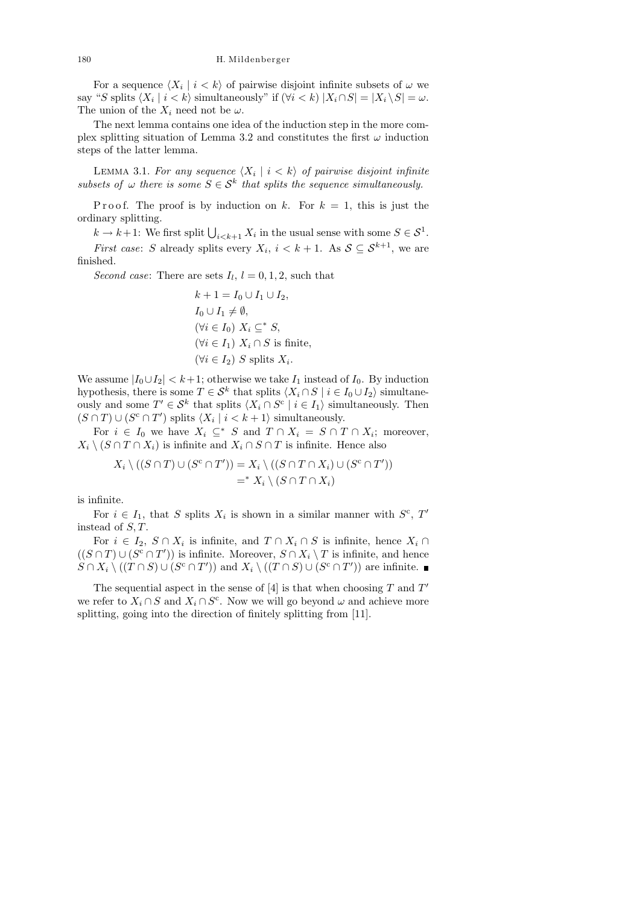For a sequence  $\langle X_i | i \rangle \langle k \rangle$  of pairwise disjoint infinite subsets of  $\omega$  we say "S splits  $\langle X_i | i \rangle \langle k \rangle$  simultaneously" if  $(\forall i \rangle \langle k \rangle |X_i \cap S| = |X_i \setminus S| = \omega$ . The union of the  $X_i$  need not be  $\omega$ .

The next lemma contains one idea of the induction step in the more complex splitting situation of Lemma 3.2 and constitutes the first  $\omega$  induction steps of the latter lemma.

LEMMA 3.1. For any sequence  $\langle X_i | i \rangle$  of pairwise disjoint infinite subsets of  $\omega$  there is some  $S \in \mathcal{S}^k$  that splits the sequence simultaneously.

P r o o f. The proof is by induction on k. For  $k = 1$ , this is just the ordinary splitting.

 $k \to k+1$ : We first split  $\bigcup_{i \leq k+1} X_i$  in the usual sense with some  $S \in \mathcal{S}^1$ .

*First case:* S already splits every  $X_i$ ,  $i < k+1$ . As  $S \subseteq S^{k+1}$ , we are finished.

Second case: There are sets  $I_l$ ,  $l = 0, 1, 2$ , such that

$$
k + 1 = I_0 \cup I_1 \cup I_2,
$$
  
\n
$$
I_0 \cup I_1 \neq \emptyset,
$$
  
\n
$$
(\forall i \in I_0) \ X_i \subseteq^* S,
$$
  
\n
$$
(\forall i \in I_1) \ X_i \cap S \text{ is finite},
$$
  
\n
$$
(\forall i \in I_2) \ S \text{ splits } X_i.
$$

We assume  $|I_0 \cup I_2| < k+1$ ; otherwise we take  $I_1$  instead of  $I_0$ . By induction hypothesis, there is some  $T \in \mathcal{S}^k$  that splits  $\langle X_i \cap S \mid i \in I_0 \cup I_2 \rangle$  simultaneously and some  $T' \in \mathcal{S}^k$  that splits  $\langle X_i \cap S^c \mid i \in I_1 \rangle$  simultaneously. Then  $(S \cap T) \cup (S^c \cap T')$  splits  $\langle X_i | i \langle k+1 \rangle$  simultaneously.

For  $i \in I_0$  we have  $X_i \subseteq^* S$  and  $T \cap X_i = S \cap T \cap X_i$ ; moreover,  $X_i \setminus (S \cap T \cap X_i)$  is infinite and  $X_i \cap S \cap T$  is infinite. Hence also

$$
X_i \setminus ((S \cap T) \cup (S^c \cap T')) = X_i \setminus ((S \cap T \cap X_i) \cup (S^c \cap T'))
$$
  
=<sup>\*</sup>  $X_i \setminus (S \cap T \cap X_i)$ 

is infinite.

For  $i \in I_1$ , that S splits  $X_i$  is shown in a similar manner with  $S^c$ , T' instead of S, T.

For  $i \in I_2$ ,  $S \cap X_i$  is infinite, and  $T \cap X_i \cap S$  is infinite, hence  $X_i \cap$  $((S \cap T) \cup (S^c \cap T'))$  is infinite. Moreover,  $S \cap X_i \setminus T$  is infinite, and hence  $S \cap X_i \setminus ((T \cap S) \cup (S^c \cap T'))$  and  $X_i \setminus ((T \cap S) \cup (S^c \cap T'))$  are infinite.

The sequential aspect in the sense of  $[4]$  is that when choosing T and  $T'$ we refer to  $X_i \cap S$  and  $X_i \cap S^c$ . Now we will go beyond  $\omega$  and achieve more splitting, going into the direction of finitely splitting from [11].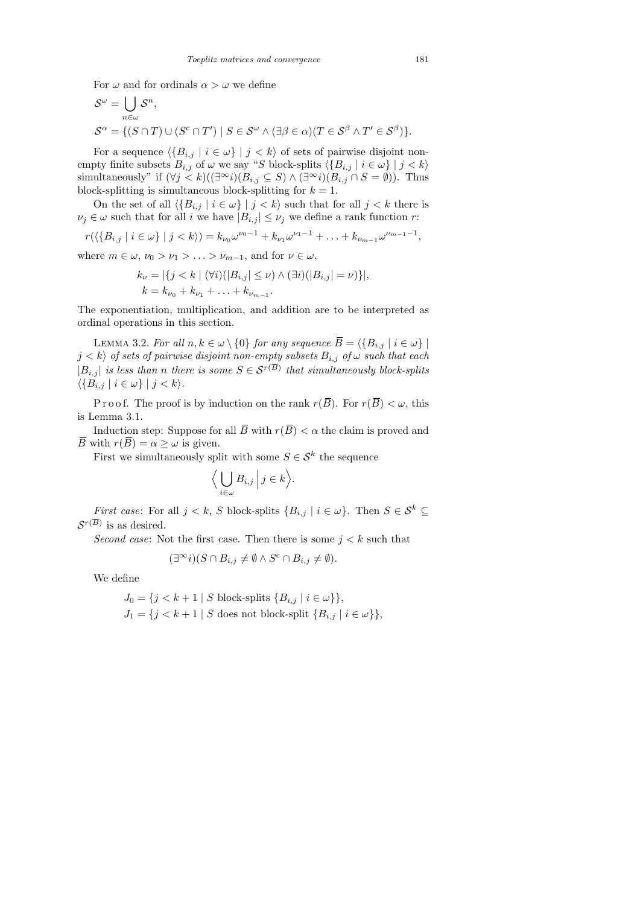For  $\omega$  and for ordinals  $\alpha > \omega$  we define

$$
\mathcal{S}^{\omega} = \bigcup_{n \in \omega} \mathcal{S}^n,
$$
  

$$
\mathcal{S}^{\alpha} = \{ (S \cap T) \cup (S^c \cap T') \mid S \in \mathcal{S}^{\omega} \land (\exists \beta \in \alpha) (T \in \mathcal{S}^{\beta} \land T' \in \mathcal{S}^{\beta}) \}.
$$

For a sequence  $\langle \{B_{i,j} | i \in \omega\} | j \langle k \rangle$  of sets of pairwise disjoint nonempty finite subsets  $B_{i,j}$  of  $\omega$  we say "S block-splits  $\langle \{B_{i,j} | i \in \omega\} | j \langle k \rangle$ simultaneously" if  $(\forall j < k)((\exists^\infty i)(B_{i,j} \subseteq S) \land (\exists^\infty i)(B_{i,j} \cap S = \emptyset))$ . Thus block-splitting is simultaneous block-splitting for  $k = 1$ .

On the set of all  $\{B_{i,j} | i \in \omega\} | j \langle k \rangle$  such that for all  $j \langle k \rangle$  there is  $\nu_j \in \omega$  such that for all *i* we have  $|B_{i,j}| \leq \nu_j$  we define a rank function r:

$$
r(\langle \{B_{i,j} \mid i \in \omega\} \mid j < k \rangle) = k_{\nu_0} \omega^{\nu_0 - 1} + k_{\nu_1} \omega^{\nu_1 - 1} + \ldots + k_{\nu_{m-1}} \omega^{\nu_{m-1} - 1},
$$

where  $m \in \omega$ ,  $\nu_0 > \nu_1 > \ldots > \nu_{m-1}$ , and for  $\nu \in \omega$ ,

$$
k_{\nu} = |\{j < k \mid (\forall i)(|B_{i,j}| \leq \nu) \land (\exists i)(|B_{i,j}| = \nu)\}|,
$$
  
\n
$$
k = k_{\nu_0} + k_{\nu_1} + \ldots + k_{\nu_{m-1}}.
$$

The exponentiation, multiplication, and addition are to be interpreted as ordinal operations in this section.

LEMMA 3.2. For all  $n, k \in \omega \setminus \{0\}$  for any sequence  $\overline{B} = \langle \{B_{i,j} | i \in \omega\} |$  $j < k \rangle$  of sets of pairwise disjoint non-empty subsets  $B_{i,j}$  of  $\omega$  such that each  $|B_{i,j}|$  is less than n there is some  $S \in \mathcal{S}^{r(\overline{B})}$  that simultaneously block-splits  $\langle \{B_{i,j} | i \in \omega\} | j < k \rangle.$ 

P r o o f. The proof is by induction on the rank  $r(\overline{B})$ . For  $r(\overline{B}) < \omega$ , this is Lemma 3.1.

Induction step: Suppose for all  $\overline{B}$  with  $r(\overline{B}) < \alpha$  the claim is proved and  $\overline{B}$  with  $r(\overline{B}) = \alpha \geq \omega$  is given.

First we simultaneously split with some  $S \in \mathcal{S}^k$  the sequence

$$
\Big\langle \bigcup_{i \in \omega} B_{i,j} \Big| j \in k \Big\rangle.
$$

*First case:* For all  $j < k$ , S block-splits  $\{B_{i,j} | i \in \omega\}$ . Then  $S \in \mathcal{S}^k$  $\mathcal{S}^{r(B)}$  is as desired.

Second case: Not the first case. Then there is some  $j < k$  such that

$$
(\exists^{\infty} i)(S \cap B_{i,j} \neq \emptyset \land S^{c} \cap B_{i,j} \neq \emptyset).
$$

We define

$$
J_0 = \{j < k+1 \mid S \text{ block-splits } \{B_{i,j} \mid i \in \omega\} \},
$$
\n
$$
J_1 = \{j < k+1 \mid S \text{ does not block-split } \{B_{i,j} \mid i \in \omega\} \},
$$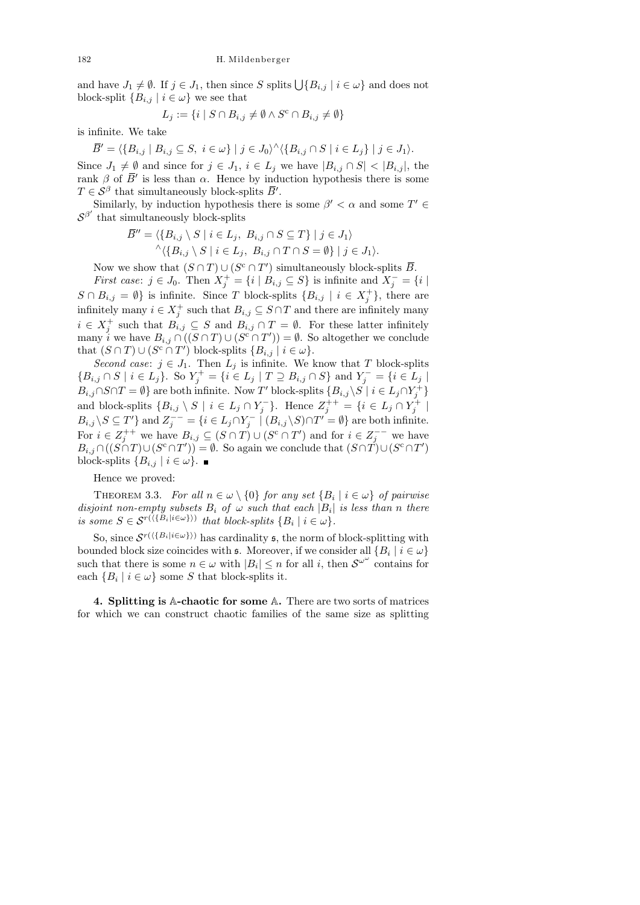and have  $J_1 \neq \emptyset$ . If  $j \in J_1$ , then since S splits  $\bigcup \{B_{i,j} | i \in \omega\}$  and does not block-split  ${B_{i,j} | i \in \omega}$  we see that

$$
L_j := \{ i \mid S \cap B_{i,j} \neq \emptyset \land S^c \cap B_{i,j} \neq \emptyset \}
$$

is infinite. We take

 $\overline{B}' = \langle \{B_{i,j} \mid B_{i,j} \subseteq S, i \in \omega\} \mid j \in J_0 \rangle^{\wedge} \langle \{B_{i,j} \cap S \mid i \in L_j\} \mid j \in J_1 \rangle.$ Since  $J_1 \neq \emptyset$  and since for  $j \in J_1$ ,  $i \in L_j$  we have  $|B_{i,j} \cap S| < |B_{i,j}|$ , the rank  $\beta$  of  $\bar{B}'$  is less than  $\alpha$ . Hence by induction hypothesis there is some  $T \in \mathcal{S}^{\beta}$  that simultaneously block-splits  $\overline{B}'$ .

Similarly, by induction hypothesis there is some  $\beta' < \alpha$  and some  $T' \in$  $S^{\beta'}$  that simultaneously block-splits

$$
\overline{B}'' = \langle \{B_{i,j} \setminus S \mid i \in L_j, B_{i,j} \cap S \subseteq T\} \mid j \in J_1 \rangle
$$
  
 
$$
\wedge \langle \{B_{i,j} \setminus S \mid i \in L_j, B_{i,j} \cap T \cap S = \emptyset\} \mid j \in J_1 \rangle.
$$

Now we show that  $(S \cap T) \cup (S^c \cap T')$  simultaneously block-splits  $\overline{B}$ .

*First case:*  $j \in J_0$ . Then  $X_j^+ = \{i \mid B_{i,j} \subseteq S\}$  is infinite and  $X_j^- = \{i \mid S_{i,j} \subseteq S\}$  $S \cap B_{i,j} = \emptyset$  is infinite. Since T block-splits  $\{B_{i,j} \mid i \in X_j^+\}$ , there are infinitely many  $i \in X_j^+$  such that  $B_{i,j} \subseteq S \cap T$  and there are infinitely many  $i \in X_j^+$  such that  $B_{i,j} \subseteq S$  and  $B_{i,j} \cap T = \emptyset$ . For these latter infinitely many i we have  $B_{i,j} \cap ((S \cap T) \cup (S^c \cap T')) = \emptyset$ . So altogether we conclude that  $(S \cap T) \cup (S^c \cap T')$  block-splits  $\{B_{i,j} \mid i \in \omega\}.$ 

Second case:  $j \in J_1$ . Then  $L_j$  is infinite. We know that T block-splits  ${B_{i,j} \cap S \mid i \in L_j}$ . So  $Y^+_j = {i \in L_j \mid T \supseteq B_{i,j} \cap S}$  and  $Y^-_j = {i \in L_j \mid T \supseteq B_{i,j} \cap S}$  $B_{i,j} \cap S \cap T = \emptyset$  are both infinite. Now T' block-splits  $\{B_{i,j}\setminus S \mid i \in L_j \cap Y_j^+\}$ and block-splits  $\{B_{i,j} \setminus S \mid i \in L_j \cap Y_j^-\}$ . Hence  $Z_j^{++} = \{i \in L_j \cap Y_j^+ \mid j \in L_j\}$  $B_{i,j}\setminus S\subseteq T'$  and  $Z_j^{--}=\{i\in L_j\cap Y_j^{--} \mid (B_{i,j}\setminus S)\cap T'=\emptyset\}$  are both infinite. For  $i \in Z_j^{++}$  we have  $B_{i,j} \subseteq (S \cap T) \cup (S^c \cap T')$  and for  $i \in Z_j^{--}$  we have  $B_{i,j} \cap ((S \cap T) \cup (S^c \cap T')) = \emptyset$ . So again we conclude that  $(S \cap T) \cup (S^c \cap T')$ block-splits  $\{B_{i,j} \mid i \in \omega\}$ .

Hence we proved:

THEOREM 3.3. For all  $n \in \omega \setminus \{0\}$  for any set  $\{B_i \mid i \in \omega\}$  of pairwise disjoint non-empty subsets  $B_i$  of  $\omega$  such that each  $|B_i|$  is less than n there is some  $S \in \mathcal{S}^{r(\langle \{B_i | i \in \omega\} \rangle)}$  that block-splits  $\{B_i | i \in \omega\}.$ 

So, since  $\mathcal{S}^{r(\{\{B_i|i\in\omega\}\})}$  has cardinality  $\mathfrak{s}$ , the norm of block-splitting with bounded block size coincides with  $\mathfrak{s}$ . Moreover, if we consider all  $\{B_i \mid i \in \omega\}$ such that there is some  $n \in \omega$  with  $|B_i| \leq n$  for all i, then  $S^{\omega^{\omega}}$  contains for each  ${B_i \mid i \in \omega}$  some S that block-splits it.

4. Splitting is A-chaotic for some A. There are two sorts of matrices for which we can construct chaotic families of the same size as splitting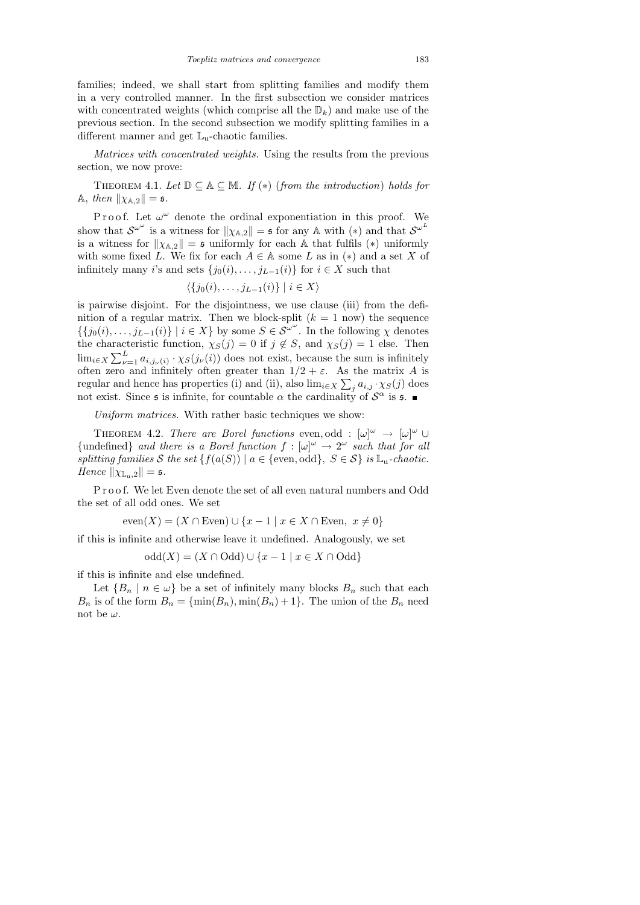families; indeed, we shall start from splitting families and modify them in a very controlled manner. In the first subsection we consider matrices with concentrated weights (which comprise all the  $\mathbb{D}_k$ ) and make use of the previous section. In the second subsection we modify splitting families in a different manner and get  $\mathbb{L}_u$ -chaotic families.

Matrices with concentrated weights. Using the results from the previous section, we now prove:

THEOREM 4.1. Let  $\mathbb{D} \subseteq \mathbb{A} \subseteq \mathbb{M}$ . If  $(*)$  (from the introduction) holds for A, then  $\|\chi_{A,2}\| = \mathfrak{s}.$ 

Proof. Let  $\omega^{\omega}$  denote the ordinal exponentiation in this proof. We show that  $S^{\omega^{\omega}}$  is a witness for  $\|\chi_{\mathbb{A},2}\| = \mathfrak{s}$  for any A with  $(*)$  and that  $S^{\omega^L}$ is a witness for  $\|\chi_{A,2}\| = \mathfrak{s}$  uniformly for each A that fulfils (\*) uniformly with some fixed L. We fix for each  $A \in A$  some L as in (\*) and a set X of infinitely many *i*'s and sets  $\{j_0(i), \ldots, j_{L-1}(i)\}\$ for  $i \in X$  such that

$$
\langle \{j_0(i),\ldots,j_{L-1}(i)\} \mid i \in X \rangle
$$

is pairwise disjoint. For the disjointness, we use clause (iii) from the definition of a regular matrix. Then we block-split  $(k = 1$  now) the sequence  $\{\{j_0(i),\ldots,j_{L-1}(i)\}\mid i\in X\}$  by some  $S\in \mathcal{S}^{\omega^{\omega}}$ . In the following  $\chi$  denotes the characteristic function,  $\chi_S(j) = 0$  if  $j \notin S$ , and  $\chi_S(j) = 1$  else. Then  $\lim_{i \in X} \sum_{\nu=1}^{L} a_{i,j_{\nu}(i)} \cdot \chi_{S}(j_{\nu}(i))$  does not exist, because the sum is infinitely often zero and infinitely often greater than  $1/2 + \varepsilon$ . As the matrix A is regular and hence has properties (i) and (ii), also  $\lim_{i \in X} \sum_j a_{i,j} \cdot \chi_S(j)$  does not exist. Since  $\mathfrak s$  is infinite, for countable  $\alpha$  the cardinality of  $\mathcal S^{\alpha}$  is  $\mathfrak s$ .

Uniform matrices. With rather basic techniques we show:

THEOREM 4.2. There are Borel functions even, odd :  $[\omega]^{\omega} \rightarrow [\omega]^{\omega} \cup$ {undefined} and there is a Borel function  $f : [\omega]^\omega \to 2^\omega$  such that for all splitting families S the set  $\{f(a(S)) \mid a \in \{\text{even}, \text{odd}\}, S \in S\}$  is  $\mathbb{L}_u$ -chaotic. Hence  $\|\chi_{\mathbb{L}_n,2}\| = \mathfrak{s}.$ 

Proof. We let Even denote the set of all even natural numbers and Odd the set of all odd ones. We set

$$
even(X) = (X \cap Even) \cup \{x - 1 \mid x \in X \cap Even, x \neq 0\}
$$

if this is infinite and otherwise leave it undefined. Analogously, we set

$$
odd(X) = (X \cap Odd) \cup \{x - 1 \mid x \in X \cap Odd\}
$$

if this is infinite and else undefined.

Let  ${B_n \mid n \in \omega}$  be a set of infinitely many blocks  $B_n$  such that each  $B_n$  is of the form  $B_n = {\min(B_n), \min(B_n) + 1}.$  The union of the  $B_n$  need not be  $\omega$ .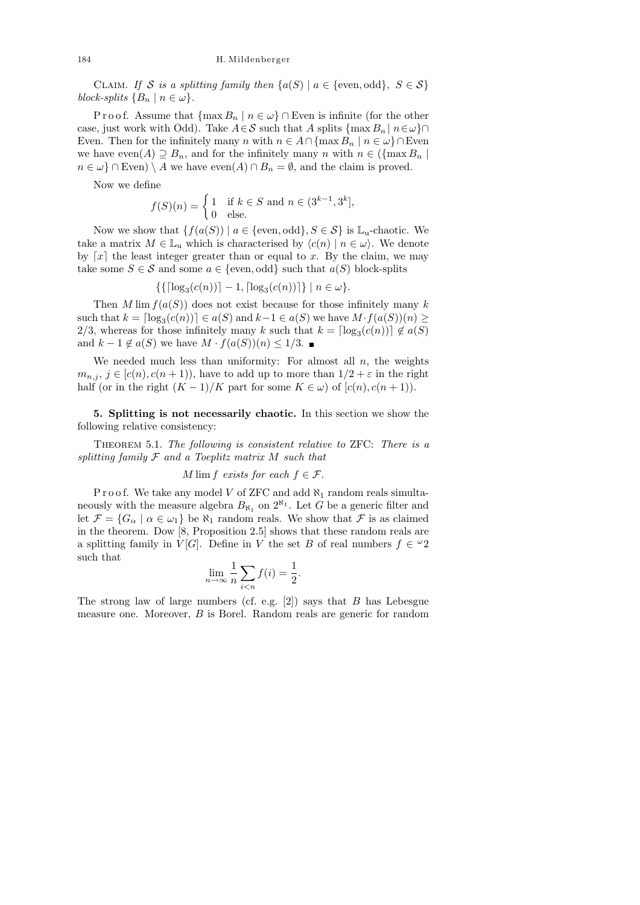CLAIM. If S is a splitting family then  $\{a(S) \mid a \in \{\text{even}, \text{odd}\}, S \in \mathcal{S}\}\$ block-splits  ${B_n \mid n \in \omega}.$ 

P r o o f. Assume that  $\{\max B_n \mid n \in \omega\} \cap$  Even is infinite (for the other case, just work with Odd). Take  $A \in \mathcal{S}$  such that A splits  $\{\max B_n \mid n \in \omega\} \cap$ Even. Then for the infinitely many n with  $n \in A \cap \{\max B_n \mid n \in \omega\} \cap$ Even we have even $(A) \supseteq B_n$ , and for the infinitely many n with  $n \in (\{\max B_n\})$  $n \in \omega$  ∩ Even) \ A we have even(A) ∩  $B_n = \emptyset$ , and the claim is proved.

Now we define

$$
f(S)(n) = \begin{cases} 1 & \text{if } k \in S \text{ and } n \in (3^{k-1}, 3^k], \\ 0 & \text{else.} \end{cases}
$$

Now we show that  $\{f(a(S)) \mid a \in \{\text{even}, \text{odd}\}, S \in \mathcal{S}\}\$ is  $\mathbb{L}_{u}$ -chaotic. We take a matrix  $M \in \mathbb{L}_{u}$  which is characterised by  $\langle c(n) | n \in \omega \rangle$ . We denote by  $\lceil x \rceil$  the least integer greater than or equal to x. By the claim, we may take some  $S \in \mathcal{S}$  and some  $a \in \{\text{even}, \text{odd}\}\$  such that  $a(S)$  block-splits

 $\{ \{ \lceil \log_3(c(n)) \rceil - 1, \lceil \log_3(c(n)) \rceil \} \mid n \in \omega \}.$ 

Then M lim  $f(a(S))$  does not exist because for those infinitely many k such that  $k = \lceil \log_3(c(n)) \rceil \in a(S)$  and  $k-1 \in a(S)$  we have  $M \cdot f(a(S))(n) \ge$ 2/3, whereas for those infinitely many k such that  $k = \lceil \log_3(c(n)) \rceil \notin a(S)$ and  $k - 1 \notin a(S)$  we have  $M \cdot f(a(S))(n) \leq 1/3$ .

We needed much less than uniformity: For almost all  $n$ , the weights  $m_{n,j}, j \in [c(n), c(n+1))$ , have to add up to more than  $1/2 + \varepsilon$  in the right half (or in the right  $(K-1)/K$  part for some  $K \in \omega$ ) of  $[c(n), c(n+1))$ .

5. Splitting is not necessarily chaotic. In this section we show the following relative consistency:

THEOREM 5.1. The following is consistent relative to ZFC: There is a splitting family  $F$  and a Toeplitz matrix  $M$  such that

M lim f exists for each  $f \in \mathcal{F}$ .

P r o o f. We take any model V of ZFC and add  $\aleph_1$  random reals simultaneously with the measure algebra  $B_{\aleph_1}$  on  $2^{\aleph_1}$ . Let G be a generic filter and let  $\mathcal{F} = \{G_\alpha \mid \alpha \in \omega_1\}$  be  $\aleph_1$  random reals. We show that  $\mathcal{F}$  is as claimed in the theorem. Dow [8, Proposition 2.5] shows that these random reals are a splitting family in  $V[G]$ . Define in V the set B of real numbers  $f \in {}^{\omega}2$ such that

$$
\lim_{n \to \infty} \frac{1}{n} \sum_{i < n} f(i) = \frac{1}{2}.
$$

The strong law of large numbers (cf. e.g.  $[2]$ ) says that B has Lebesgue measure one. Moreover, B is Borel. Random reals are generic for random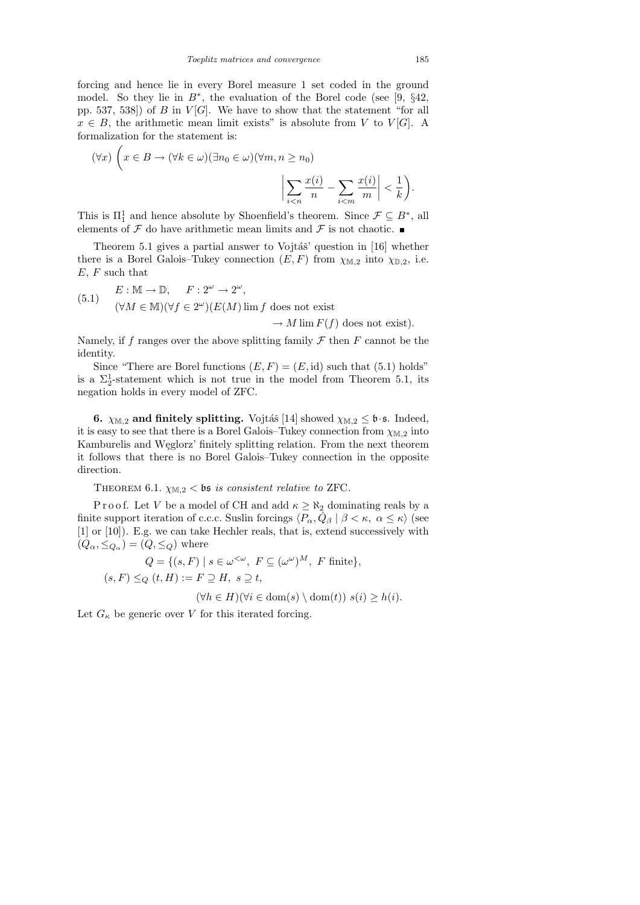forcing and hence lie in every Borel measure 1 set coded in the ground model. So they lie in  $B^*$ , the evaluation of the Borel code (see [9, §42, pp. 537, 538) of B in  $V[G]$ . We have to show that the statement "for all  $x \in B$ , the arithmetic mean limit exists" is absolute from V to V[G]. A formalization for the statement is:

$$
(\forall x) \left( x \in B \to (\forall k \in \omega)(\exists n_0 \in \omega)(\forall m, n \ge n_0) \right)
$$

$$
\left| \sum_{i < n} \frac{x(i)}{n} - \sum_{i < m} \frac{x(i)}{m} \right| < \frac{1}{k}.
$$

This is  $\Pi_1^1$  and hence absolute by Shoenfield's theorem. Since  $\mathcal{F} \subseteq B^*$ , all elements of  $\mathcal F$  do have arithmetic mean limits and  $\mathcal F$  is not chaotic.

Theorem 5.1 gives a partial answer to Vojtáš' question in  $[16]$  whether there is a Borel Galois–Tukey connection  $(E, F)$  from  $\chi_{\mathbb{M},2}$  into  $\chi_{\mathbb{D},2}$ , i.e.  $E, F$  such that

(5.1) 
$$
E: \mathbb{M} \to \mathbb{D}, \quad F: 2^{\omega} \to 2^{\omega},
$$

$$
(\forall M \in \mathbb{M})(\forall f \in 2^{\omega})(E(M)\lim f \text{ does not exist}) \to M \lim F(f) \text{ does not exist}).
$$

Namely, if f ranges over the above splitting family  $\mathcal F$  then  $F$  cannot be the identity.

Since "There are Borel functions  $(E, F) = (E, id)$  such that  $(5.1)$  holds" is a  $\Sigma^1_2$ -statement which is not true in the model from Theorem 5.1, its negation holds in every model of ZFC.

**6.**  $\chi_{\mathbb{M},2}$  and finitely splitting. Vojtáš [14] showed  $\chi_{\mathbb{M},2} \leq \mathfrak{b} \cdot \mathfrak{s}$ . Indeed, it is easy to see that there is a Borel Galois–Tukey connection from  $\chi_{M,2}$  into Kamburelis and Węglorz' finitely splitting relation. From the next theorem it follows that there is no Borel Galois–Tukey connection in the opposite direction.

THEOREM 6.1.  $\chi_{\mathbb{M},2}$  < bs is consistent relative to ZFC.

P r o o f. Let V be a model of CH and add  $\kappa \geq \aleph_2$  dominating reals by a finite support iteration of c.c.c. Suslin forcings  $\langle P_\alpha, \dot{Q}_\beta | \beta \langle \kappa, \alpha \leq \kappa \rangle$  (see [1] or [10]). E.g. we can take Hechler reals, that is, extend successively with  $(Q_{\alpha}, \leq_{Q_{\alpha}}) = (Q, \leq_Q)$  where

$$
Q = \{(s, F) \mid s \in \omega^{<\omega}, F \subseteq (\omega^{\omega})^M, F \text{ finite}\},\
$$

$$
(s, F) \leq_Q (t, H) := F \supseteq H, s \supseteq t,
$$

$$
(\forall h \in H)(\forall i \in \text{dom}(s) \setminus \text{dom}(t)) \ s(i) \geq h(i).
$$

Let  $G_{\kappa}$  be generic over V for this iterated forcing.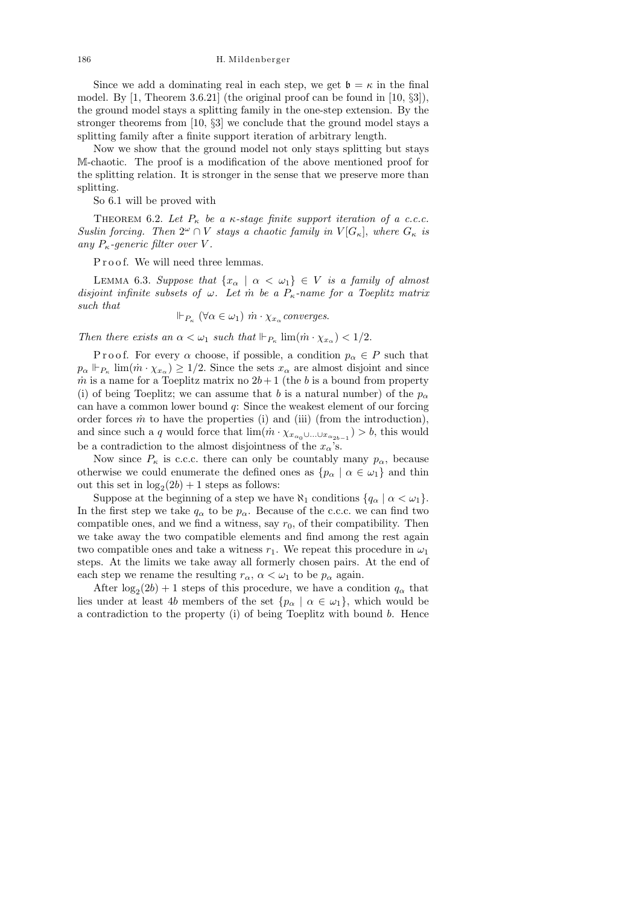186 H. Mildenberger

Since we add a dominating real in each step, we get  $\mathfrak{b} = \kappa$  in the final model. By  $[1,$  Theorem 3.6.21] (the original proof can be found in  $[10, \S3]$ ), the ground model stays a splitting family in the one-step extension. By the stronger theorems from [10, §3] we conclude that the ground model stays a splitting family after a finite support iteration of arbitrary length.

Now we show that the ground model not only stays splitting but stays M-chaotic. The proof is a modification of the above mentioned proof for the splitting relation. It is stronger in the sense that we preserve more than splitting.

So 6.1 will be proved with

THEOREM 6.2. Let  $P_{\kappa}$  be a  $\kappa$ -stage finite support iteration of a c.c.c. Suslin forcing. Then  $2^{\omega} \cap V$  stays a chaotic family in  $V[G_{\kappa}],$  where  $G_{\kappa}$  is any  $P_{\kappa}$ -generic filter over V.

Proof. We will need three lemmas.

LEMMA 6.3. Suppose that  $\{x_\alpha \mid \alpha < \omega_1\} \in V$  is a family of almost disjoint infinite subsets of  $\omega$ . Let m<sup>t</sup> be a  $P_{\kappa}$ -name for a Toeplitz matrix such that

 $\Vdash_{P_{\kappa}} (\forall \alpha \in \omega_1) \dot{m} \cdot \chi_{x_{\alpha}} converges.$ 

Then there exists an  $\alpha < \omega_1$  such that  $\Vdash_{P_{\kappa}} \lim(\dot{m} \cdot \chi_{x_{\alpha}}) < 1/2$ .

P r o o f. For every  $\alpha$  choose, if possible, a condition  $p_{\alpha} \in P$  such that  $p_{\alpha} \Vdash_{P_{\kappa}} \lim(\hat{m} \cdot \chi_{x_{\alpha}}) \geq 1/2$ . Since the sets  $x_{\alpha}$  are almost disjoint and since m is a name for a Toeplitz matrix no  $2b+1$  (the b is a bound from property (i) of being Toeplitz; we can assume that b is a natural number) of the  $p_{\alpha}$ can have a common lower bound q: Since the weakest element of our forcing order forces  $\dot{m}$  to have the properties (i) and (iii) (from the introduction), and since such a q would force that  $\lim_{m \to \infty} (\dot{m} \cdot \chi_{x_{\alpha_0} \cup ... \cup x_{\alpha_{2b-1}}}) > b$ , this would be a contradiction to the almost disjointness of the  $x_{\alpha}$ 's.

Now since  $P_{\kappa}$  is c.c.c. there can only be countably many  $p_{\alpha}$ , because otherwise we could enumerate the defined ones as  $\{p_{\alpha} \mid \alpha \in \omega_1\}$  and thin out this set in  $log_2(2b) + 1$  steps as follows:

Suppose at the beginning of a step we have  $\aleph_1$  conditions  $\{q_\alpha \mid \alpha < \omega_1\}.$ In the first step we take  $q_{\alpha}$  to be  $p_{\alpha}$ . Because of the c.c.c. we can find two compatible ones, and we find a witness, say  $r_0$ , of their compatibility. Then we take away the two compatible elements and find among the rest again two compatible ones and take a witness  $r_1$ . We repeat this procedure in  $\omega_1$ steps. At the limits we take away all formerly chosen pairs. At the end of each step we rename the resulting  $r_{\alpha}$ ,  $\alpha < \omega_1$  to be  $p_{\alpha}$  again.

After  $\log_2(2b) + 1$  steps of this procedure, we have a condition  $q_\alpha$  that lies under at least 4b members of the set  $\{p_\alpha \mid \alpha \in \omega_1\}$ , which would be a contradiction to the property (i) of being Toeplitz with bound b. Hence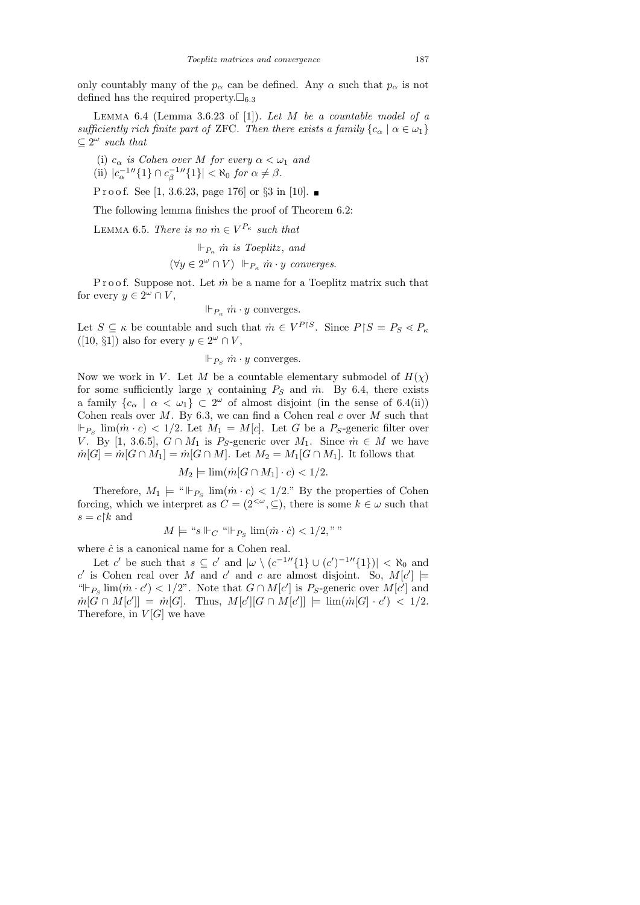only countably many of the  $p_{\alpha}$  can be defined. Any  $\alpha$  such that  $p_{\alpha}$  is not defined has the required property.  $\square_{6,3}$ 

LEMMA  $6.4$  (Lemma  $3.6.23$  of [1]). Let M be a countable model of a sufficiently rich finite part of ZFC. Then there exists a family  $\{c_{\alpha} \mid \alpha \in \omega_1\}$  $\subseteq 2^{\omega}$  such that

(i)  $c_{\alpha}$  is Cohen over M for every  $\alpha < \omega_1$  and

(ii) 
$$
|c_{\alpha}^{-1}''\{1\} \cap c_{\beta}^{-1}''\{1\}| < \aleph_0
$$
 for  $\alpha \neq \beta$ .

P r o o f. See [1, 3.6.23, page 176] or  $\S 3$  in [10].

The following lemma finishes the proof of Theorem 6.2:

LEMMA 6.5. There is no  $\dot{m} \in V^{P_\kappa}$  such that

$$
\Vdash_{P_{\kappa}} \dot{m} \text{ is Toeplitz, and}
$$
  

$$
(\forall y \in 2^{\omega} \cap V) \Vdash_{P_{\kappa}} \dot{m} \cdot y \text{ converges.}
$$

P r o o f. Suppose not. Let  $\dot{m}$  be a name for a Toeplitz matrix such that for every  $y \in 2^{\omega} \cap V$ ,

 $\Vdash_{P_{\kappa}} \dot{m} \cdot y$  converges.

Let  $S \subseteq \kappa$  be countable and such that  $\dot{m} \in V^{P \restriction S}$ . Since  $P \restriction S = P_S \lessdot P_{\kappa}$  $([10, \S1])$  also for every  $y \in 2^{\omega} \cap V$ ,

 $\Vdash_{P_S} \dot{m} \cdot y$  converges.

Now we work in V. Let M be a countable elementary submodel of  $H(\chi)$ for some sufficiently large  $\chi$  containing  $P_S$  and  $\dot{m}$ . By 6.4, there exists a family  $\{c_{\alpha} \mid \alpha < \omega_1\} \subset 2^{\omega}$  of almost disjoint (in the sense of 6.4(ii)) Cohen reals over  $M$ . By 6.3, we can find a Cohen real  $c$  over  $M$  such that  $\Vdash_{P_S}$  lim( $\dot{m} \cdot c$ ) < 1/2. Let  $M_1 = M[c]$ . Let G be a  $P_S$ -generic filter over V. By [1, 3.6.5],  $G \cap M_1$  is P<sub>S</sub>-generic over  $M_1$ . Since  $m \in M$  we have  $m[G] = m[G \cap M_1] = m[G \cap M]$ . Let  $M_2 = M_1[G \cap M_1]$ . It follows that

$$
M_2 \models \lim(\dot{m}[G \cap M_1] \cdot c) < 1/2.
$$

Therefore,  $M_1 \models {\text{``}} \Vdash_{P_S} \lim(\dot{m} \cdot c) < 1/2$ ." By the properties of Cohen forcing, which we interpret as  $C = (2^{\langle \omega, \subseteq \rangle})$ , there is some  $k \in \omega$  such that  $s = c \upharpoonright k$  and

$$
M \models ``s \Vdash_{C} ``\Vdash_{P_S} \lim(\dot{m} \cdot \dot{c}) < 1/2, ``
$$

where  $\dot{c}$  is a canonical name for a Cohen real.

Let c' be such that  $s \subseteq c'$  and  $|\omega \setminus (c^{-1} \setminus \{1\} \cup (c')^{-1} \setminus \{1\})| < \aleph_0$  and c' is Cohen real over M and c' and c are almost disjoint. So,  $M[c'] \models$ " $\Vdash_{P_S} \lim(\dot{m} \cdot c') < 1/2$ ". Note that  $G \cap M[c']$  is P<sub>S</sub>-generic over  $M[c']$  and  $m[G \cap M[c']] = m[G].$  Thus,  $M[c'] [G \cap M[c']] = \lim (m[G] \cdot c') < 1/2.$ Therefore, in  $V[G]$  we have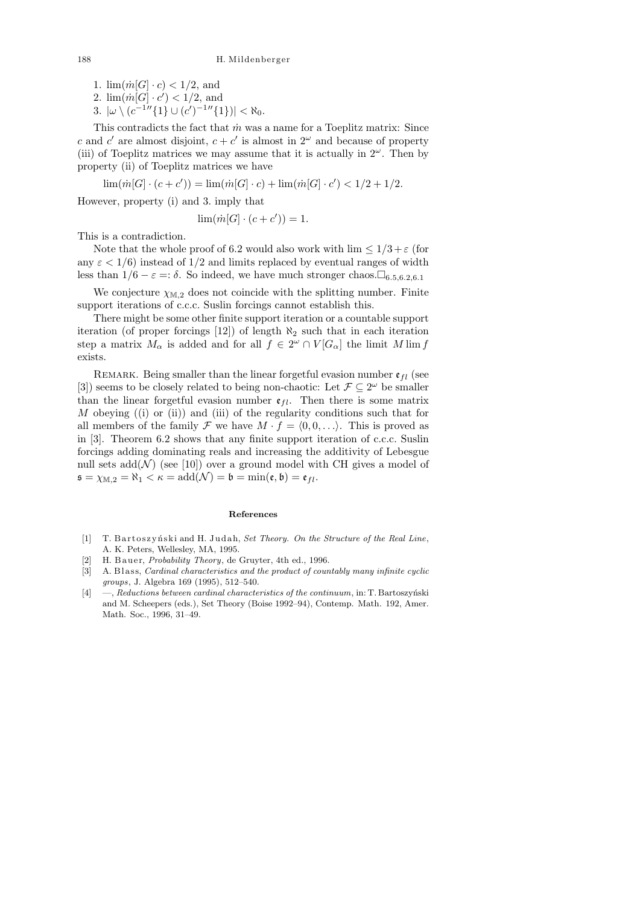- 1.  $\lim_{m \to \infty} (m[G] \cdot c) < 1/2$ , and
- 2.  $\lim_{m \to \infty} \left( \frac{m}{G} \right) \cdot c' < 1/2$ , and
- 3.  $|\omega \setminus (c^{-1} \setminus \{1\} \cup (c')^{-1} \setminus \{1\})| < \aleph_0$ .

This contradicts the fact that  $\dot{m}$  was a name for a Toeplitz matrix: Since c and c' are almost disjoint,  $c + c'$  is almost in  $2^{\omega}$  and because of property (iii) of Toeplitz matrices we may assume that it is actually in  $2^{\omega}$ . Then by property (ii) of Toeplitz matrices we have

 $\lim(\dot{m}[G] \cdot (c+c')) = \lim(\dot{m}[G] \cdot c) + \lim(\dot{m}[G] \cdot c') < 1/2 + 1/2.$ 

However, property (i) and 3. imply that

$$
\lim(\dot{m}[G] \cdot (c+c')) = 1.
$$

This is a contradiction.

Note that the whole proof of 6.2 would also work with  $\lim_{n \to \infty} 1/3 + \varepsilon$  (for any  $\varepsilon < 1/6$ ) instead of  $1/2$  and limits replaced by eventual ranges of width less than  $1/6 - \varepsilon =: \delta$ . So indeed, we have much stronger chaos.  $\square_{6.5,6.2,6.1}$ 

We conjecture  $\chi_{M,2}$  does not coincide with the splitting number. Finite support iterations of c.c.c. Suslin forcings cannot establish this.

There might be some other finite support iteration or a countable support iteration (of proper forcings [12]) of length  $\aleph_2$  such that in each iteration step a matrix  $M_{\alpha}$  is added and for all  $f \in 2^{\omega} \cap V[G_{\alpha}]$  the limit  $M \lim f$ exists.

REMARK. Being smaller than the linear forgetful evasion number  $\mathfrak{e}_{fl}$  (see [3]) seems to be closely related to being non-chaotic: Let  $\mathcal{F} \subseteq 2^{\omega}$  be smaller than the linear forgetful evasion number  $\mathfrak{e}_{fl}$ . Then there is some matrix M obeying  $(i)$  or  $(ii)$  and  $(iii)$  of the regularity conditions such that for all members of the family F we have  $M \cdot f = \langle 0, 0, \ldots \rangle$ . This is proved as in [3]. Theorem 6.2 shows that any finite support iteration of c.c.c. Suslin forcings adding dominating reals and increasing the additivity of Lebesgue null sets  $add(N)$  (see [10]) over a ground model with CH gives a model of  $\mathfrak{s} = \chi_{\mathbb{M},2} = \aleph_1 < \kappa = \text{add}(\mathcal{N}) = \mathfrak{b} = \min(\mathfrak{e}, \mathfrak{b}) = \mathfrak{e}_{fl}.$ 

## **References**

- [1] T. Bartoszyński and H. Judah, *Set Theory. On the Structure of the Real Line*, A. K. Peters, Wellesley, MA, 1995.
- H. B auer, *Probability Theory*, de Gruyter, 4th ed., 1996.
- [3] A. Blass, *Cardinal characteristics and the product of countably many infinite cyclic groups*, J. Algebra 169 (1995), 512–540.
- [4] —, *Reductions between cardinal characteristics of the continuum*, in: T. Bartoszyński and M. Scheepers (eds.), Set Theory (Boise 1992–94), Contemp. Math. 192, Amer. Math. Soc., 1996, 31–49.